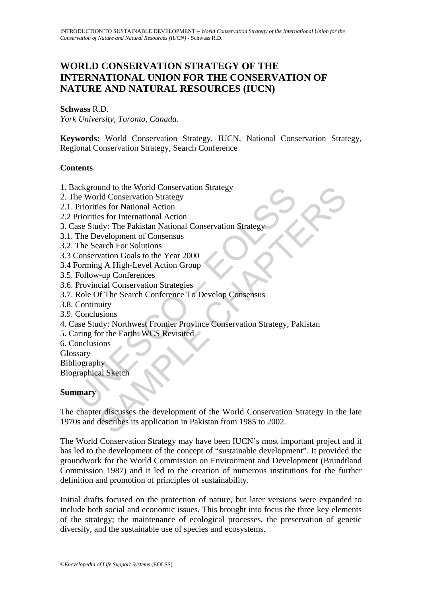## **WORLD CONSERVATION STRATEGY OF THE INTERNATIONAL UNION FOR THE CONSERVATION OF NATURE AND NATURAL RESOURCES (IUCN)**

**Schwass** R.D.

*York University, Toronto, Canada.* 

**Keywords:** World Conservation Strategy, IUCN, National Conservation Strategy, Regional Conservation Strategy, Search Conference

#### **Contents**

- 1. Background to the World Conservation Strategy
- 2. The World Conservation Strategy
- 2.1. Priorities for National Action
- 2.2 Priorities for International Action
- 3. Case Study: The Pakistan National Conservation Strategy
- 3.1. The Development of Consensus
- 3.2. The Search For Solutions
- 3.3 Conservation Goals to the Year 2000
- 3.4 Forming A High-Level Action Group
- 3.5. Follow-up Conferences
- 3.6. Provincial Conservation Strategies
- 3.7. Role Of The Search Conference To Develop Consensus
- 3.8. Continuity
- 3.9. Conclusions
- ackground to the World Conservation Strategy<br>
Priorities for National Action<br>
Priorities for National Action<br>
Priorities for National Action<br>
Priorities for International Action<br>
The Development of Consensus<br>
The Search Fo 4. Case Study: Northwest Frontier Province Conservation Strategy, Pakistan
- 5. Caring for the Earth: WCS Revisited
- 6. Conclusions
- Glossary

Bibliography

Biographical Sketch

#### **Summary**

For discusses the development of the World Conservation Strategy<br>
reis for National Action<br>
eis for National Action<br>
es for International Action<br>
excelopment of Consensus<br>
excelopment of Consensus<br>
varion Goals to the Year The chapter discusses the development of the World Conservation Strategy in the late 1970s and describes its application in Pakistan from 1985 to 2002.

The World Conservation Strategy may have been IUCN's most important project and it has led to the development of the concept of "sustainable development". It provided the groundwork for the World Commission on Environment and Development (Brundtland Commission 1987) and it led to the creation of numerous institutions for the further definition and promotion of principles of sustainability.

Initial drafts focused on the protection of nature, but later versions were expanded to include both social and economic issues. This brought into focus the three key elements of the strategy; the maintenance of ecological processes, the preservation of genetic diversity, and the sustainable use of species and ecosystems.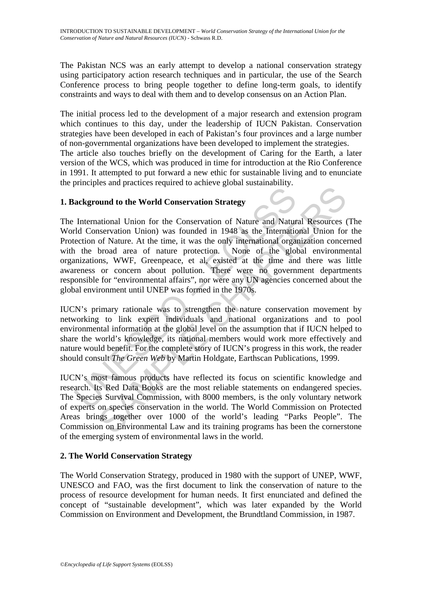The Pakistan NCS was an early attempt to develop a national conservation strategy using participatory action research techniques and in particular, the use of the Search Conference process to bring people together to define long-term goals, to identify constraints and ways to deal with them and to develop consensus on an Action Plan.

The initial process led to the development of a major research and extension program which continues to this day, under the leadership of IUCN Pakistan. Conservation strategies have been developed in each of Pakistan's four provinces and a large number of non-governmental organizations have been developed to implement the strategies. The article also touches briefly on the development of Caring for the Earth, a later version of the WCS, which was produced in time for introduction at the Rio Conference in 1991. It attempted to put forward a new ethic for sustainable living and to enunciate

#### **1. Background to the World Conservation Strategy**

the principles and practices required to achieve global sustainability.

ackground to the World Conservation Strategy<br>International Union for the Conservation of Nature and Natur<br>Id Conservation Union) was founded in 1948 as the Internation<br>action of Nature. At the time, it was the only interna and to the World Conservation Strategy<br>ational Union for the Conservation Strategy<br>ational Union for the Conservation of Nature and Natural Resources<br>broad area of nature. At the time, it was the only international organi The International Union for the Conservation of Nature and Natural Resources (The World Conservation Union) was founded in 1948 as the International Union for the Protection of Nature. At the time, it was the only international organization concerned with the broad area of nature protection. None of the global environmental organizations, WWF, Greenpeace, et al, existed at the time and there was little awareness or concern about pollution. There were no government departments responsible for "environmental affairs", nor were any UN agencies concerned about the global environment until UNEP was formed in the 1970s.

IUCN's primary rationale was to strengthen the nature conservation movement by networking to link expert individuals and national organizations and to pool environmental information at the global level on the assumption that if IUCN helped to share the world's knowledge, its national members would work more effectively and nature would benefit. For the complete story of IUCN's progress in this work, the reader should consult *The Green Web* by Martin Holdgate, Earthscan Publications, 1999.

IUCN's most famous products have reflected its focus on scientific knowledge and research. Its Red Data Books are the most reliable statements on endangered species. The Species Survival Commission, with 8000 members, is the only voluntary network of experts on species conservation in the world. The World Commission on Protected Areas brings together over 1000 of the world's leading "Parks People". The Commission on Environmental Law and its training programs has been the cornerstone of the emerging system of environmental laws in the world.

## **2. The World Conservation Strategy**

The World Conservation Strategy, produced in 1980 with the support of UNEP, WWF, UNESCO and FAO, was the first document to link the conservation of nature to the process of resource development for human needs. It first enunciated and defined the concept of "sustainable development", which was later expanded by the World Commission on Environment and Development, the Brundtland Commission, in 1987.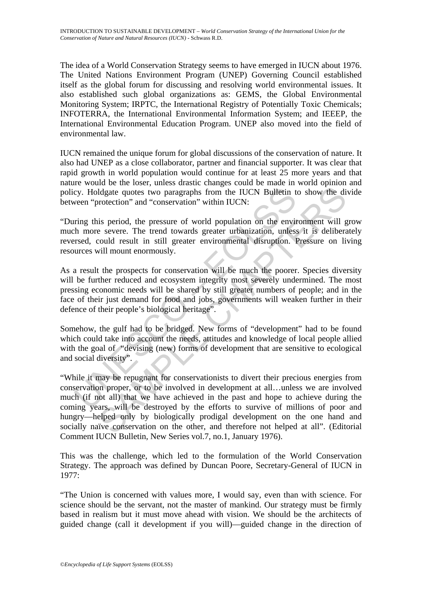The idea of a World Conservation Strategy seems to have emerged in IUCN about 1976. The United Nations Environment Program (UNEP) Governing Council established itself as the global forum for discussing and resolving world environmental issues. It also established such global organizations as: GEMS, the Global Environmental Monitoring System; IRPTC, the International Registry of Potentially Toxic Chemicals; INFOTERRA, the International Environmental Information System; and IEEEP, the International Environmental Education Program. UNEP also moved into the field of environmental law.

IUCN remained the unique forum for global discussions of the conservation of nature. It also had UNEP as a close collaborator, partner and financial supporter. It was clear that rapid growth in world population would continue for at least 25 more years and that nature would be the loser, unless drastic changes could be made in world opinion and policy. Holdgate quotes two paragraphs from the IUCN Bulletin to show the divide between "protection" and "conservation" within IUCN:

"During this period, the pressure of world population on the environment will grow much more severe. The trend towards greater urbanization, unless it is deliberately reversed, could result in still greater environmental disruption. Pressure on living resources will mount enormously.

cy. Holdgate quotes two paragraphs from the IUCN Bulletin t<br>veen "protection" and "conservation" within IUCN:<br>ring this period, the pressure of world population on the envir<br>h more severe. The trend towards greater urbaniz As a result the prospects for conservation will be much the poorer. Species diversity will be further reduced and ecosystem integrity most severely undermined. The most pressing economic needs will be shared by still greater numbers of people; and in the face of their just demand for food and jobs, governments will weaken further in their defence of their people's biological heritage".

Somehow, the gulf had to be bridged. New forms of "development" had to be found which could take into account the needs, attitudes and knowledge of local people allied with the goal of "devising (new) forms of development that are sensitive to ecological and social diversity".

Idgate quotes two paragraphs from the IUCN Bulletin to show the directed dial<br>digate quotes two paragraphs from the IUCN Bulletin to show the directed<br>on" and "conservation" within IUCN:<br>lis period, the pressure of world p "While it may be repugnant for conservationists to divert their precious energies from conservation proper, or to be involved in development at all…unless we are involved much (if not all) that we have achieved in the past and hope to achieve during the coming years, will be destroyed by the efforts to survive of millions of poor and hungry—helped only by biologically prodigal development on the one hand and socially naïve conservation on the other, and therefore not helped at all". (Editorial Comment IUCN Bulletin, New Series vol.7, no.1, January 1976).

This was the challenge, which led to the formulation of the World Conservation Strategy. The approach was defined by Duncan Poore, Secretary-General of IUCN in 1977:

"The Union is concerned with values more, I would say, even than with science. For science should be the servant, not the master of mankind. Our strategy must be firmly based in realism but it must move ahead with vision. We should be the architects of guided change (call it development if you will)—guided change in the direction of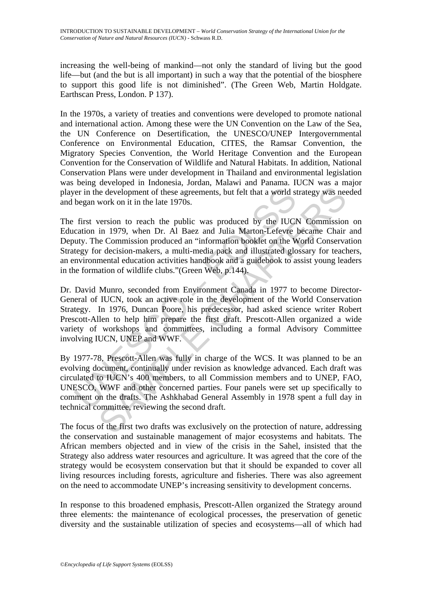increasing the well-being of mankind—not only the standard of living but the good life—but (and the but is all important) in such a way that the potential of the biosphere to support this good life is not diminished". (The Green Web, Martin Holdgate. Earthscan Press, London. P 137).

In the 1970s, a variety of treaties and conventions were developed to promote national and international action. Among these were the UN Convention on the Law of the Sea, the UN Conference on Desertification, the UNESCO/UNEP Intergovernmental Conference on Environmental Education, CITES, the Ramsar Convention, the Migratory Species Convention, the World Heritage Convention and the European Convention for the Conservation of Wildlife and Natural Habitats. In addition, National Conservation Plans were under development in Thailand and environmental legislation was being developed in Indonesia, Jordan, Malawi and Panama. IUCN was a major player in the development of these agreements, but felt that a world strategy was needed and began work on it in the late 1970s.

The first version to reach the public was produced by the IUCN Commission on Education in 1979, when Dr. Al Baez and Julia Marton-Lefevre became Chair and Deputy. The Commission produced an "information booklet on the World Conservation Strategy for decision-makers, a multi-media pack and illustrated glossary for teachers, an environmental education activities handbook and a guidebook to assist young leaders in the formation of wildlife clubs."(Green Web, p.144).

For in the development of these agreements, but felt that a world s<br>began work on it in the late 1970s.<br>
first version to reach the public was produced by the IUCI<br>
first version to reach the public was produced by the IUC is development of these agreements, but felt that a world strategy was new ork on it in the late 1970s.<br>
wersion to reach the public was produced by the IUCN Commission<br>
in 1979, when Dr. Al Baez and Julia Marton-Lefeve be Dr. David Munro, seconded from Environment Canada in 1977 to become Director-General of IUCN, took an active role in the development of the World Conservation Strategy. In 1976, Duncan Poore, his predecessor, had asked science writer Robert Prescott-Allen to help him prepare the first draft. Prescott-Allen organized a wide variety of workshops and committees, including a formal Advisory Committee involving IUCN, UNEP and WWF.

By 1977-78, Prescott-Allen was fully in charge of the WCS. It was planned to be an evolving document, continually under revision as knowledge advanced. Each draft was circulated to IUCN's 400 members, to all Commission members and to UNEP, FAO, UNESCO, WWF and other concerned parties. Four panels were set up specifically to comment on the drafts. The Ashkhabad General Assembly in 1978 spent a full day in technical committee, reviewing the second draft.

The focus of the first two drafts was exclusively on the protection of nature, addressing the conservation and sustainable management of major ecosystems and habitats. The African members objected and in view of the crisis in the Sahel, insisted that the Strategy also address water resources and agriculture. It was agreed that the core of the strategy would be ecosystem conservation but that it should be expanded to cover all living resources including forests, agriculture and fisheries. There was also agreement on the need to accommodate UNEP's increasing sensitivity to development concerns.

In response to this broadened emphasis, Prescott-Allen organized the Strategy around three elements: the maintenance of ecological processes, the preservation of genetic diversity and the sustainable utilization of species and ecosystems—all of which had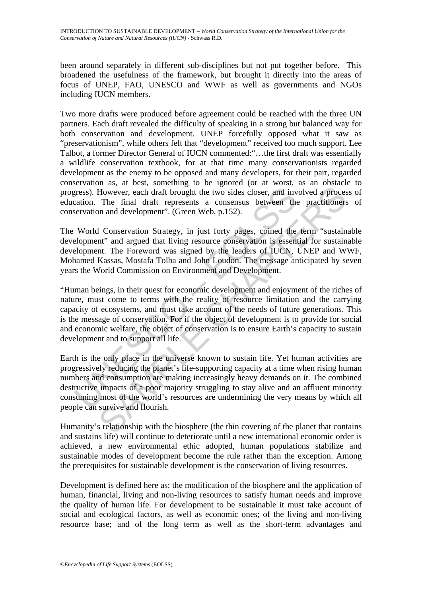been around separately in different sub-disciplines but not put together before. This broadened the usefulness of the framework, but brought it directly into the areas of focus of UNEP, FAO, UNESCO and WWF as well as governments and NGOs including IUCN members.

Two more drafts were produced before agreement could be reached with the three UN partners. Each draft revealed the difficulty of speaking in a strong but balanced way for both conservation and development. UNEP forcefully opposed what it saw as "preservationism", while others felt that "development" received too much support. Lee Talbot, a former Director General of IUCN commented:"…the first draft was essentially a wildlife conservation textbook, for at that time many conservationists regarded development as the enemy to be opposed and many developers, for their part, regarded conservation as, at best, something to be ignored (or at worst, as an obstacle to progress). However, each draft brought the two sides closer, and involved a process of education. The final draft represents a consensus between the practitioners of conservation and development". (Green Web, p.152).

The World Conservation Strategy, in just forty pages, coined the term "sustainable development" and argued that living resource conservation is essential for sustainable development. The Foreword was signed by the leaders of IUCN, UNEP and WWF, Mohamed Kassas, Mostafa Tolba and John Loudon. The message anticipated by seven years the World Commission on Environment and Development.

gress). However, each draft brought the two sides closer, and invertion. The final draft represents a consensus between the servation and development". (Green Web, p.152). World Conservation Strategy, in just forty pages, "Human beings, in their quest for economic development and enjoyment of the riches of nature, must come to terms with the reality of resource limitation and the carrying capacity of ecosystems, and must take account of the needs of future generations. This is the message of conservation. For if the object of development is to provide for social and economic welfare, the object of conservation is to ensure Earth's capacity to sustain development and to support all life.

However, each draft brought the two sides closer, and involved a proces<br>However, each draft brought the two sides closer, and involved a proces<br>The final draft represents a consensus between the practitioners<br>on and develo Earth is the only place in the universe known to sustain life. Yet human activities are progressively reducing the planet's life-supporting capacity at a time when rising human numbers and consumption are making increasingly heavy demands on it. The combined destructive impacts of a poor majority struggling to stay alive and an affluent minority consuming most of the world's resources are undermining the very means by which all people can survive and flourish.

Humanity's relationship with the biosphere (the thin covering of the planet that contains and sustains life) will continue to deteriorate until a new international economic order is achieved, a new environmental ethic adopted, human populations stabilize and sustainable modes of development become the rule rather than the exception. Among the prerequisites for sustainable development is the conservation of living resources.

Development is defined here as: the modification of the biosphere and the application of human, financial, living and non-living resources to satisfy human needs and improve the quality of human life. For development to be sustainable it must take account of social and ecological factors, as well as economic ones; of the living and non-living resource base; and of the long term as well as the short-term advantages and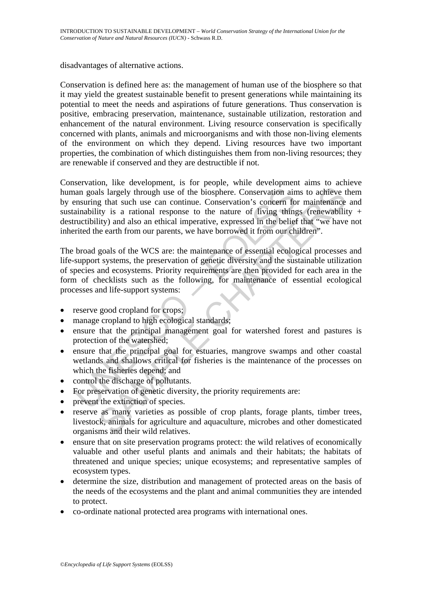disadvantages of alternative actions.

Conservation is defined here as: the management of human use of the biosphere so that it may yield the greatest sustainable benefit to present generations while maintaining its potential to meet the needs and aspirations of future generations. Thus conservation is positive, embracing preservation, maintenance, sustainable utilization, restoration and enhancement of the natural environment. Living resource conservation is specifically concerned with plants, animals and microorganisms and with those non-living elements of the environment on which they depend. Living resources have two important properties, the combination of which distinguishes them from non-living resources; they are renewable if conserved and they are destructible if not.

nam goals largely through use of the biosphere. Conservation aim<br>sum goals largely through use of the biosphere. Conservation aim<br>suring that such use can continue. Conservation's concern fo<br>ainability is a rational respon as largely through use of the biosphere. Conservation aims to achieve the sis largely through use of the biosphere. Conservation aims to achieve the that such a rational response to the nature of living thing threasure iti Conservation, like development, is for people, while development aims to achieve human goals largely through use of the biosphere. Conservation aims to achieve them by ensuring that such use can continue. Conservation's concern for maintenance and sustainability is a rational response to the nature of living things (renewability  $+$ destructibility) and also an ethical imperative, expressed in the belief that "we have not inherited the earth from our parents, we have borrowed it from our children".

The broad goals of the WCS are: the maintenance of essential ecological processes and life-support systems, the preservation of genetic diversity and the sustainable utilization of species and ecosystems. Priority requirements are then provided for each area in the form of checklists such as the following, for maintenance of essential ecological processes and life-support systems:

- reserve good cropland for crops;
- manage cropland to high ecological standards;
- ensure that the principal management goal for watershed forest and pastures is protection of the watershed;
- ensure that the principal goal for estuaries, mangrove swamps and other coastal wetlands and shallows critical for fisheries is the maintenance of the processes on which the fisheries depend; and
- control the discharge of pollutants.
- For preservation of genetic diversity, the priority requirements are:
- prevent the extinction of species.
- reserve as many varieties as possible of crop plants, forage plants, timber trees, livestock, animals for agriculture and aquaculture, microbes and other domesticated organisms and their wild relatives.
- ensure that on site preservation programs protect: the wild relatives of economically valuable and other useful plants and animals and their habitats; the habitats of threatened and unique species; unique ecosystems; and representative samples of ecosystem types.
- determine the size, distribution and management of protected areas on the basis of the needs of the ecosystems and the plant and animal communities they are intended to protect.
- co-ordinate national protected area programs with international ones.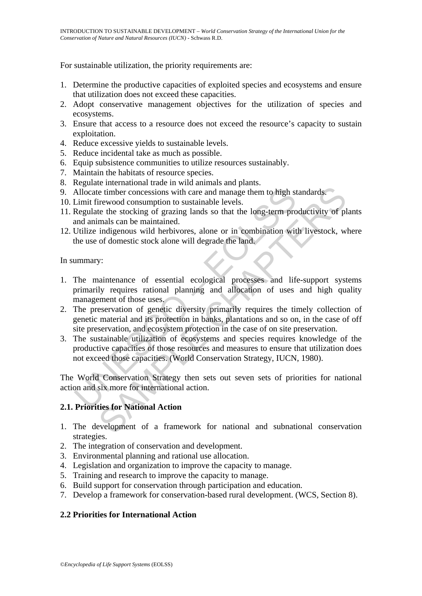For sustainable utilization, the priority requirements are:

- 1. Determine the productive capacities of exploited species and ecosystems and ensure that utilization does not exceed these capacities.
- 2. Adopt conservative management objectives for the utilization of species and ecosystems.
- 3. Ensure that access to a resource does not exceed the resource's capacity to sustain exploitation.
- 4. Reduce excessive yields to sustainable levels.
- 5. Reduce incidental take as much as possible.
- 6. Equip subsistence communities to utilize resources sustainably.
- 7. Maintain the habitats of resource species.
- 8. Regulate international trade in wild animals and plants.
- 9. Allocate timber concessions with care and manage them to high standards.
- 10. Limit firewood consumption to sustainable levels.
- 11. Regulate the stocking of grazing lands so that the long-term productivity of plants and animals can be maintained.
- 12. Utilize indigenous wild herbivores, alone or in combination with livestock, where the use of domestic stock alone will degrade the land.

In summary:

- 1. The maintenance of essential ecological processes and life-support systems primarily requires rational planning and allocation of uses and high quality management of those uses.
- 2. The preservation of genetic diversity primarily requires the timely collection of genetic material and its protection in banks, plantations and so on, in the case of off site preservation, and ecosystem protection in the case of on site preservation.
- Allocate timber concessions with care and manage them to high st<br>Limit firewood consumption to sustainable levels.<br>Regulate the stocking of grazing lands so that the long-term pro<br>and animals can be maintained.<br>Utilize ind is et the stocking of grazing lands so that have and manage them to high standards.<br>
irewood consumption to sustainable levels.<br>
the the stocking of grazing lands so that the long-term productivity of pl<br>
mals can be maint 3. The sustainable utilization of ecosystems and species requires knowledge of the productive capacities of those resources and measures to ensure that utilization does not exceed those capacities. (World Conservation Strategy, IUCN, 1980).

The World Conservation Strategy then sets out seven sets of priorities for national action and six more for international action.

## **2.1. Priorities for National Action**

- 1. The development of a framework for national and subnational conservation strategies.
- 2. The integration of conservation and development.
- 3. Environmental planning and rational use allocation.
- 4. Legislation and organization to improve the capacity to manage.
- 5. Training and research to improve the capacity to manage.
- 6. Build support for conservation through participation and education.
- 7. Develop a framework for conservation-based rural development. (WCS, Section 8).

#### **2.2 Priorities for International Action**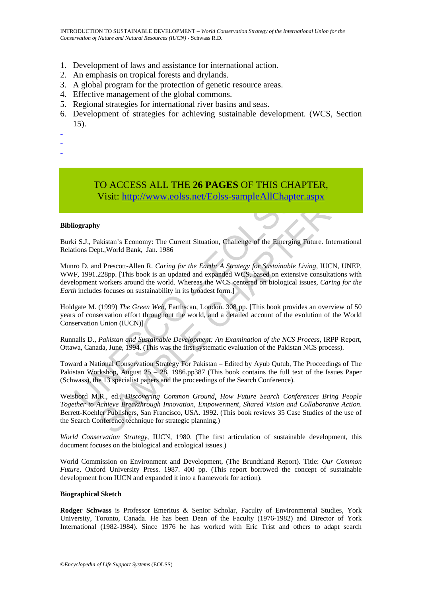- 1. Development of laws and assistance for international action.
- 2. An emphasis on tropical forests and drylands.
- 3. A global program for the protection of genetic resource areas.
- 4. Effective management of the global commons.
- 5. Regional strategies for international river basins and seas.
- 6. Development of strategies for achieving sustainable development. (WCS, Section 15).
- -
- -
- -

# TO ACCESS ALL THE **26 PAGES** OF THIS CHAPTER,

Visit: http://www.eolss.net/Eolss-sampleAllChapter.aspx

#### **Bibliography**

Burki S.J., Pakistan's Economy: The Current Situation, Challenge of the Emerging Future. International Relations Dept.,World Bank, Jan. 1986

Visit: http://www.eolss.net/Eolss-sampleAllChapte<br>Visit: http://www.eolss.net/Eolss-sampleAllChapte<br>iography<br>is 3.J., Pakistan's Economy: The Current Situation, Challenge of the Emergin<br>ions Dept., World Bank, Jan. 1986<br>ro Munro D. and Prescott-Allen R. *Caring for the Earth: A Strategy for Sustainable Living,* IUCN, UNEP, WWF, 1991.228pp. [This book is an updated and expanded WCS, based on extensive consultations with development workers around the world. Whereas the WCS centered on biological issues, *Caring for the Earth* includes focuses on sustainability in its broadest form.]

Holdgate M. (1999) *The Green Web*, Earthscan, London. 308 pp. [This book provides an overview of 50 years of conservation effort throughout the world, and a detailed account of the evolution of the World Conservation Union (IUCN)]

Runnalls D., *Pakistan and Sustainable Development: An Examination of the NCS Process,* IRPP Report, Ottawa, Canada, June, 1994. (This was the first systematic evaluation of the Pakistan NCS process).

Toward a National Conservation Strategy For Pakistan – Edited by Ayub Qutub, The Proceedings of The Pakistan Workshop, August 25 – 28, 1986.pp387 (This book contains the full text of the Issues Paper (Schwass), the 13 specialist papers and the proceedings of the Search Conference).

US ACCESS ALL THE 20 PAGES OF THIS CHAPTER,<br>Visit: http://www.eolss.net/Eolss-sampleAllChapter.aspx<br>
Wisit: http://www.eolss.net/Eolss-sampleAllChapter.aspx<br>
P<br>
thet, World Bank, Jan. 1986<br>
P<br>
Prescot-Allen R. Caring for t Weisbord M.R., ed., *Discovering Common Ground, How Future Search Conferences Bring People Together to Achieve Breakthrough Innovation, Empowerment, Shared Vision and Collaborative Action*. Berrett-Koehler Publishers, San Francisco, USA. 1992. (This book reviews 35 Case Studies of the use of the Search Conference technique for strategic planning.)

*World Conservation Strategy*, IUCN, 1980. (The first articulation of sustainable development, this document focuses on the biological and ecological issues.)

World Commission on Environment and Development, (The Brundtland Report). Title: *Our Common Future*, Oxford University Press. 1987. 400 pp. (This report borrowed the concept of sustainable development from IUCN and expanded it into a framework for action).

#### **Biographical Sketch**

**Rodger Schwass** is Professor Emeritus & Senior Scholar, Faculty of Environmental Studies, York University, Toronto, Canada. He has been Dean of the Faculty (1976-1982) and Director of York International (1982-1984). Since 1976 he has worked with Eric Trist and others to adapt search